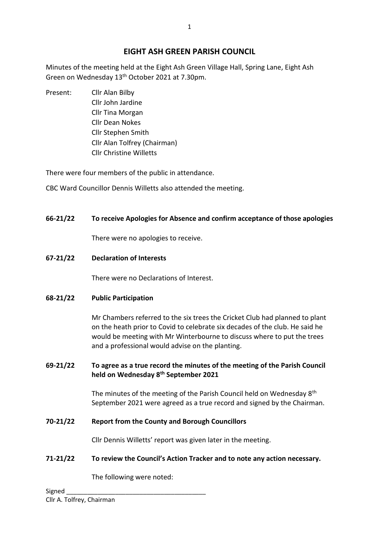# **EIGHT ASH GREEN PARISH COUNCIL**

Minutes of the meeting held at the Eight Ash Green Village Hall, Spring Lane, Eight Ash Green on Wednesday 13th October 2021 at 7.30pm.

Present: Cllr Alan Bilby Cllr John Jardine Cllr Tina Morgan Cllr Dean Nokes Cllr Stephen Smith Cllr Alan Tolfrey (Chairman) Cllr Christine Willetts

There were four members of the public in attendance.

CBC Ward Councillor Dennis Willetts also attended the meeting.

## **66-21/22 To receive Apologies for Absence and confirm acceptance of those apologies**

There were no apologies to receive.

**67-21/22 Declaration of Interests**

There were no Declarations of Interest.

#### **68-21/22 Public Participation**

Mr Chambers referred to the six trees the Cricket Club had planned to plant on the heath prior to Covid to celebrate six decades of the club. He said he would be meeting with Mr Winterbourne to discuss where to put the trees and a professional would advise on the planting.

#### **69-21/22 To agree as a true record the minutes of the meeting of the Parish Council held on Wednesday 8th September 2021**

The minutes of the meeting of the Parish Council held on Wednesday 8<sup>th</sup> September 2021 were agreed as a true record and signed by the Chairman.

#### **70-21/22 Report from the County and Borough Councillors**

Cllr Dennis Willetts' report was given later in the meeting.

#### **71-21/22 To review the Council's Action Tracker and to note any action necessary.**

The following were noted: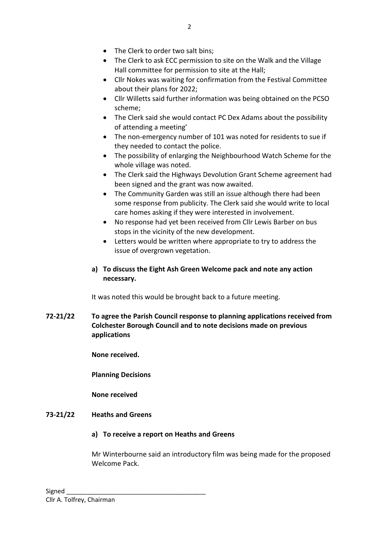- The Clerk to ask ECC permission to site on the Walk and the Village Hall committee for permission to site at the Hall;
- Cllr Nokes was waiting for confirmation from the Festival Committee about their plans for 2022;
- Cllr Willetts said further information was being obtained on the PCSO scheme;
- The Clerk said she would contact PC Dex Adams about the possibility of attending a meeting'
- The non-emergency number of 101 was noted for residents to sue if they needed to contact the police.
- The possibility of enlarging the Neighbourhood Watch Scheme for the whole village was noted.
- The Clerk said the Highways Devolution Grant Scheme agreement had been signed and the grant was now awaited.
- The Community Garden was still an issue although there had been some response from publicity. The Clerk said she would write to local care homes asking if they were interested in involvement.
- No response had yet been received from Cllr Lewis Barber on bus stops in the vicinity of the new development.
- Letters would be written where appropriate to try to address the issue of overgrown vegetation.
- **a) To discuss the Eight Ash Green Welcome pack and note any action necessary.**

It was noted this would be brought back to a future meeting.

**72-21/22 To agree the Parish Council response to planning applications received from Colchester Borough Council and to note decisions made on previous applications**

**None received.**

**Planning Decisions** 

**None received**

- **73-21/22 Heaths and Greens** 
	- **a) To receive a report on Heaths and Greens**

Mr Winterbourne said an introductory film was being made for the proposed Welcome Pack.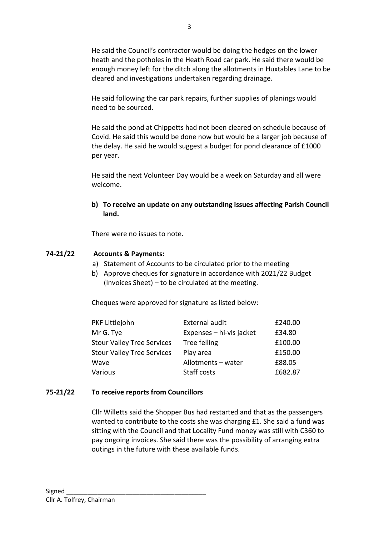He said the Council's contractor would be doing the hedges on the lower heath and the potholes in the Heath Road car park. He said there would be enough money left for the ditch along the allotments in Huxtables Lane to be cleared and investigations undertaken regarding drainage.

He said following the car park repairs, further supplies of planings would need to be sourced.

He said the pond at Chippetts had not been cleared on schedule because of Covid. He said this would be done now but would be a larger job because of the delay. He said he would suggest a budget for pond clearance of £1000 per year.

He said the next Volunteer Day would be a week on Saturday and all were welcome.

**b) To receive an update on any outstanding issues affecting Parish Council land.**

There were no issues to note.

### **74-21/22 Accounts & Payments:**

- a) Statement of Accounts to be circulated prior to the meeting
- b) Approve cheques for signature in accordance with 2021/22 Budget (Invoices Sheet) – to be circulated at the meeting.

Cheques were approved for signature as listed below:

| PKF Littlejohn                    | External audit           | £240.00 |
|-----------------------------------|--------------------------|---------|
| Mr G. Tye                         | Expenses - hi-vis jacket | £34.80  |
| <b>Stour Valley Tree Services</b> | Tree felling             | £100.00 |
| <b>Stour Valley Tree Services</b> | Play area                | £150.00 |
| Wave                              | Allotments - water       | £88.05  |
| Various                           | Staff costs              | £682.87 |

#### **75-21/22 To receive reports from Councillors**

Cllr Willetts said the Shopper Bus had restarted and that as the passengers wanted to contribute to the costs she was charging £1. She said a fund was sitting with the Council and that Locality Fund money was still with C360 to pay ongoing invoices. She said there was the possibility of arranging extra outings in the future with these available funds.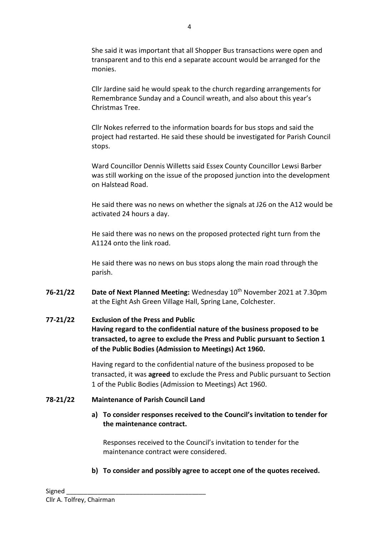She said it was important that all Shopper Bus transactions were open and transparent and to this end a separate account would be arranged for the monies.

Cllr Jardine said he would speak to the church regarding arrangements for Remembrance Sunday and a Council wreath, and also about this year's Christmas Tree.

Cllr Nokes referred to the information boards for bus stops and said the project had restarted. He said these should be investigated for Parish Council stops.

Ward Councillor Dennis Willetts said Essex County Councillor Lewsi Barber was still working on the issue of the proposed junction into the development on Halstead Road.

He said there was no news on whether the signals at J26 on the A12 would be activated 24 hours a day.

He said there was no news on the proposed protected right turn from the A1124 onto the link road.

He said there was no news on bus stops along the main road through the parish.

**76-21/22 Date of Next Planned Meeting:** Wednesday 10<sup>th</sup> November 2021 at 7.30pm at the Eight Ash Green Village Hall, Spring Lane, Colchester.

#### **77-21/22 Exclusion of the Press and Public**

**Having regard to the confidential nature of the business proposed to be transacted, to agree to exclude the Press and Public pursuant to Section 1 of the Public Bodies (Admission to Meetings) Act 1960.**

Having regard to the confidential nature of the business proposed to be transacted, it was **agreed** to exclude the Press and Public pursuant to Section 1 of the Public Bodies (Admission to Meetings) Act 1960.

#### **78-21/22 Maintenance of Parish Council Land**

**a) To consider responses received to the Council's invitation to tender for the maintenance contract.**

Responses received to the Council's invitation to tender for the maintenance contract were considered.

**b) To consider and possibly agree to accept one of the quotes received.**